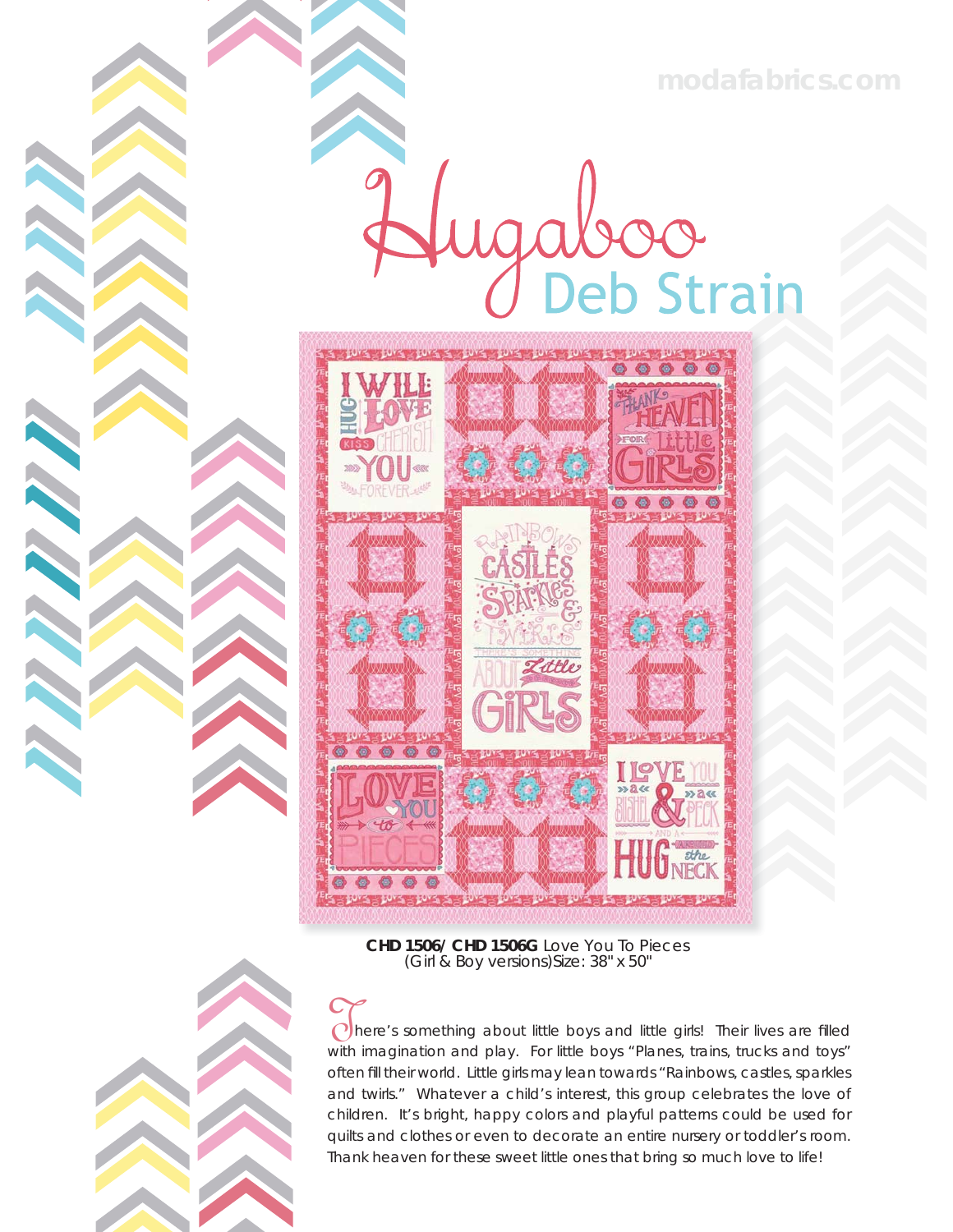**modafabrics.com**

gaboo



**CHD 1506/ CHD 1506G** Love You To Pieces (Girl & Boy versions)Size: 38" x 50"



**CONTROLLER** 

 $\bigcap$  here's something about little boys and little girls! Their lives are filled with imagination and play. For little boys "Planes, trains, trucks and toys" often fill their world. Little girls may lean towards "Rainbows, castles, sparkles and twirls." Whatever a child's interest, this group celebrates the love of children. It's bright, happy colors and playful patterns could be used for quilts and clothes or even to decorate an entire nursery or toddler's room. Thank heaven for these sweet little ones that bring so much love to life!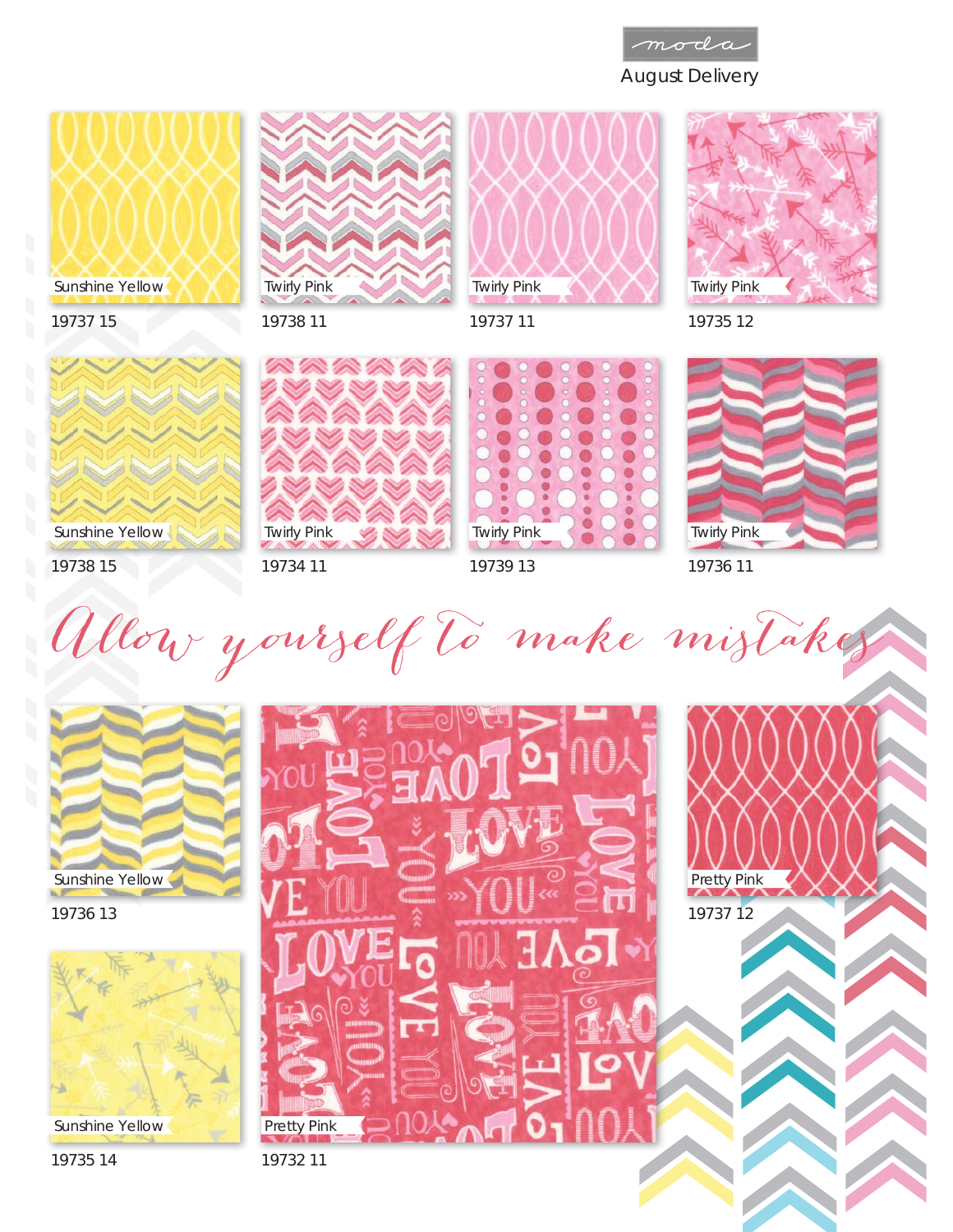









19735 12



19738 15

19737 15

19734 11



Twirly Pink  $\bullet$ 19739 13



19736 11

Allow yourself to make mistakes



19736 13



Sunshine Yellow

19735 14

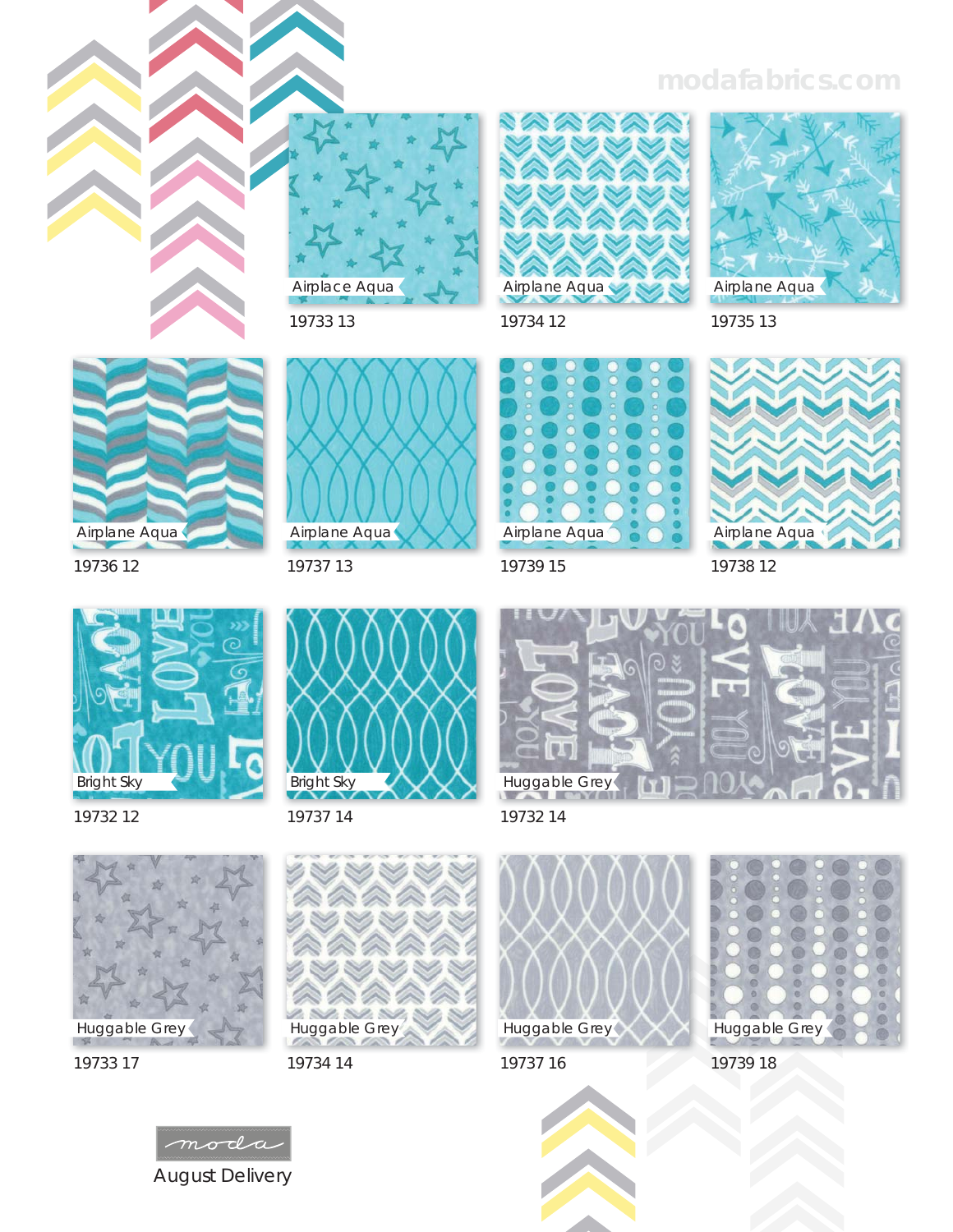## **modafabrics.com**



19733 13



19737 13



19734 12

Airplane Aqua



Bright Sky

19732 12

19736 12

Airplane Aqua



19737 14













19737 16







19733 17



n s

Huggable Grey

2 S O. S





19739 15

19738 12

19735 13

Airplane Aqua